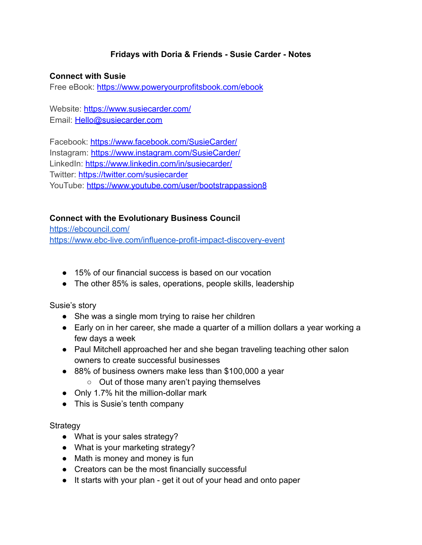# **Fridays with Doria & Friends - Susie Carder - Notes**

#### **Connect with Susie**

Free eBook: <https://www.poweryourprofitsbook.com/ebook>

Website: <https://www.susiecarder.com/> Email: [Hello@susiecarder.com](mailto:Hello@susiecarder.com)

Facebook: <https://www.facebook.com/SusieCarder/> Instagram: <https://www.instagram.com/SusieCarder/> LinkedIn: <https://www.linkedin.com/in/susiecarder/> Twitter: <https://twitter.com/susiecarder> YouTube: <https://www.youtube.com/user/bootstrappassion8>

# **Connect with the Evolutionary Business Council**

<https://ebcouncil.com/> <https://www.ebc-live.com/influence-profit-impact-discovery-event>

- 15% of our financial success is based on our vocation
- The other 85% is sales, operations, people skills, leadership

#### Susie's story

- She was a single mom trying to raise her children
- Early on in her career, she made a quarter of a million dollars a year working a few days a week
- Paul Mitchell approached her and she began traveling teaching other salon owners to create successful businesses
- 88% of business owners make less than \$100,000 a year
	- Out of those many aren't paying themselves
- Only 1.7% hit the million-dollar mark
- This is Susie's tenth company

### **Strategy**

- What is your sales strategy?
- What is your marketing strategy?
- Math is money and money is fun
- Creators can be the most financially successful
- It starts with your plan get it out of your head and onto paper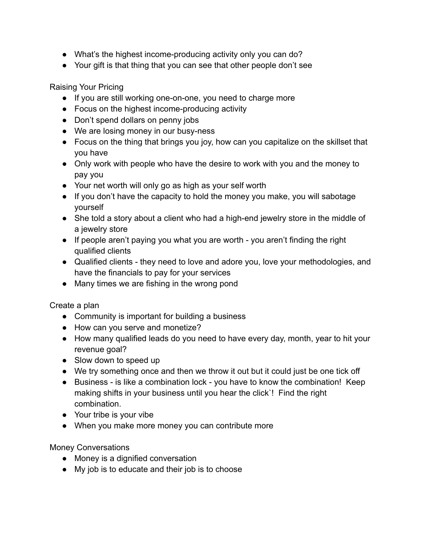- What's the highest income-producing activity only you can do?
- Your gift is that thing that you can see that other people don't see

Raising Your Pricing

- If you are still working one-on-one, you need to charge more
- Focus on the highest income-producing activity
- Don't spend dollars on penny jobs
- We are losing money in our busy-ness
- Focus on the thing that brings you joy, how can you capitalize on the skillset that you have
- Only work with people who have the desire to work with you and the money to pay you
- Your net worth will only go as high as your self worth
- If you don't have the capacity to hold the money you make, you will sabotage yourself
- She told a story about a client who had a high-end jewelry store in the middle of a jewelry store
- If people aren't paying you what you are worth you aren't finding the right qualified clients
- Qualified clients they need to love and adore you, love your methodologies, and have the financials to pay for your services
- Many times we are fishing in the wrong pond

Create a plan

- Community is important for building a business
- How can you serve and monetize?
- How many qualified leads do you need to have every day, month, year to hit your revenue goal?
- Slow down to speed up
- We try something once and then we throw it out but it could just be one tick off
- Business is like a combination lock you have to know the combination! Keep making shifts in your business until you hear the click`! Find the right combination.
- Your tribe is your vibe
- When you make more money you can contribute more

Money Conversations

- Money is a dignified conversation
- My job is to educate and their job is to choose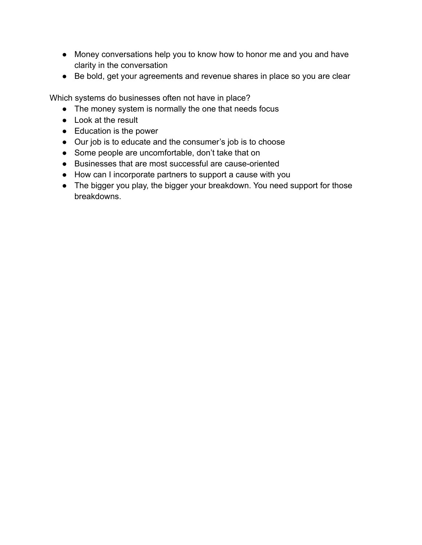- Money conversations help you to know how to honor me and you and have clarity in the conversation
- Be bold, get your agreements and revenue shares in place so you are clear

Which systems do businesses often not have in place?

- The money system is normally the one that needs focus
- Look at the result
- Education is the power
- Our job is to educate and the consumer's job is to choose
- Some people are uncomfortable, don't take that on
- Businesses that are most successful are cause-oriented
- How can I incorporate partners to support a cause with you
- The bigger you play, the bigger your breakdown. You need support for those breakdowns.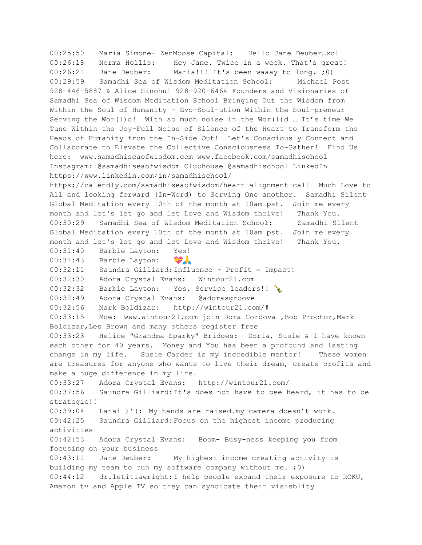00:25:50 Maria Simone- ZenMoose Capital: Hello Jane Deuber…xo! 00:26:18 Norma Hollis: Hey Jane. Twice in a week. That's great! 00:26:21 Jane Deuber: Maria!!! It's been waaay to long. ;0) 00:29:59 Samadhi Sea of Wisdom Meditation School: Michael Post 928-446-5887 & Alice Sinohui 928-920-6464 Founders and Visionaries of Samadhi Sea of Wisdom Meditation School Bringing Out the Wisdom from Within the Soul of Humanity - Evo-Soul-ution Within the Soul-preneur Serving the Wor(l)d! With so much noise in the Wor(l)d … It's time We Tune Within the Joy-Full Noise of Silence of the Heart to Transform the Heads of Humanity from the In-Side Out! Let's Consciously Connect and Collaborate to Elevate the Collective Consciousness To-Gather! Find Us here: www.samadhiseaofwisdom.com www.facebook.com/samadhischool Instagram: @samadhiseaofwisdom Clubhouse @samadhischool LinkedIn https://www.linkedin.com/in/samadhischool/ https://calendly.com/samadhiseaofwisdom/heart-alignment-call Much Love to All and looking forward (In-Word) to Serving One another. Samadhi Silent Global Meditation every 10th of the month at 10am pst. Join me every month and let's let go and let Love and Wisdom thrive! Thank You. 00:30:29 Samadhi Sea of Wisdom Meditation School: Samadhi Silent Global Meditation every 10th of the month at 10am pst. Join me every month and let's let go and let Love and Wisdom thrive! Thank You. 00:31:40 Barbie Layton: Yes! 00:31:43 Barbie Layton: 00:32:11 Saundra Gilliard:Influence + Profit = Impact! 00:32:30 Adora Crystal Evans: Wintour21.com 00:32:32 Barbie Layton: Yes, Service leaders!! 00:32:49 Adora Crystal Evans: @adorasgroove 00:32:56 Mark Boldizar: http://wintour21.com/# 00:33:15 Moe: www.wintour21.com join Dora Cordova ,Bob Proctor,Mark Boldizar,Les Brown and many others register free 00:33:23 Helice "Grandma Sparky" Bridges: Doria, Susie & I have known each other for 40 years. Money and You has been a profound and lasting change in my life. Susie Carder is my incredible mentor! These women are treasures for anyone who wants to live their dream, create profits and make a huge difference in my life. 00:33:27 Adora Crystal Evans: http://wintour21.com/ 00:37:56 Saundra Gilliard:It's does not have to bee heard, it has to be strategic!! 00:39:04 Lanai )'(: My hands are raised…my camera doesn't work… 00:42:25 Saundra Gilliard:Focus on the highest income producing activities 00:42:53 Adora Crystal Evans: Boom- Busy-ness keeping you from focusing on your business 00:43:11 Jane Deuber: My highest income creating activity is building my team to run my software company without me. ;0) 00:44:12 dr.letitiawright:I help people expand their exposure to ROKU, Amazon tv and Apple TV so they can syndicate their visisblity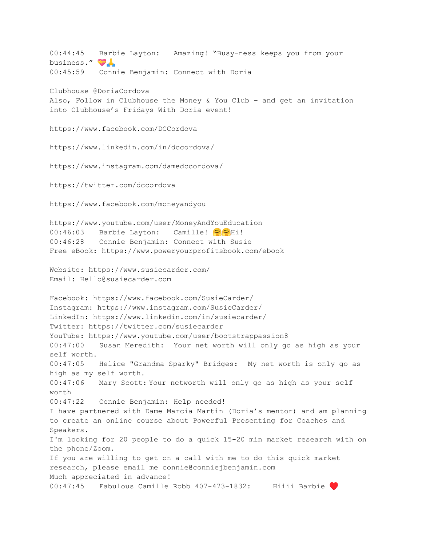00:44:45 Barbie Layton: Amazing! "Busy-ness keeps you from your business." 00:45:59 Connie Benjamin: Connect with Doria Clubhouse @DoriaCordova Also, Follow in Clubhouse the Money & You Club – and get an invitation into Clubhouse's Fridays With Doria event! https://www.facebook.com/DCCordova https://www.linkedin.com/in/dccordova/ https://www.instagram.com/damedccordova/ https://twitter.com/dccordova https://www.facebook.com/moneyandyou https://www.youtube.com/user/MoneyAndYouEducation 00:46:03 Barbie Layton: Camille! 00:46:28 Connie Benjamin: Connect with Susie Free eBook: https://www.poweryourprofitsbook.com/ebook Website: https://www.susiecarder.com/ Email: Hello@susiecarder.com Facebook: https://www.facebook.com/SusieCarder/ Instagram: https://www.instagram.com/SusieCarder/ LinkedIn: https://www.linkedin.com/in/susiecarder/ Twitter: https://twitter.com/susiecarder YouTube: https://www.youtube.com/user/bootstrappassion8 00:47:00 Susan Meredith: Your net worth will only go as high as your self worth. 00:47:05 Helice "Grandma Sparky" Bridges: My net worth is only go as high as my self worth. 00:47:06 Mary Scott: Your networth will only go as high as your self worth 00:47:22 Connie Benjamin: Help needed! I have partnered with Dame Marcia Martin (Doria's mentor) and am planning to create an online course about Powerful Presenting for Coaches and Speakers. I'm looking for 20 people to do a quick 15-20 min market research with on the phone/Zoom. If you are willing to get on a call with me to do this quick market research, please email me connie@conniejbenjamin.com Much appreciated in advance! 00:47:45 Fabulous Camille Robb 407-473-1832: Hiiii Barbie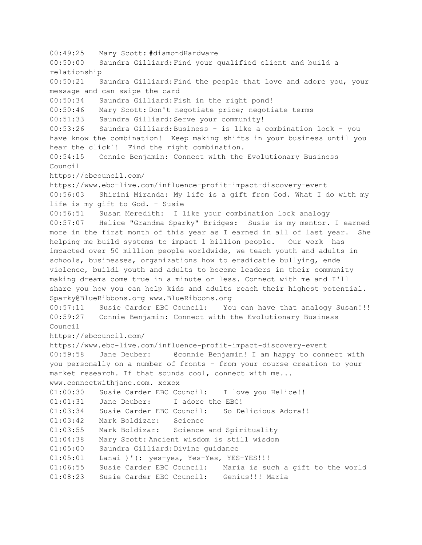00:49:25 Mary Scott: #diamondHardware 00:50:00 Saundra Gilliard:Find your qualified client and build a relationship 00:50:21 Saundra Gilliard:Find the people that love and adore you, your message and can swipe the card 00:50:34 Saundra Gilliard:Fish in the right pond! 00:50:46 Mary Scott: Don't negotiate price; negotiate terms 00:51:33 Saundra Gilliard:Serve your community! 00:53:26 Saundra Gilliard:Business - is like a combination lock - you have know the combination! Keep making shifts in your business until you hear the click`! Find the right combination. 00:54:15 Connie Benjamin: Connect with the Evolutionary Business Council https://ebcouncil.com/ https://www.ebc-live.com/influence-profit-impact-discovery-event 00:56:03 Shirini Miranda: My life is a gift from God. What I do with my life is my gift to God. - Susie 00:56:51 Susan Meredith: I like your combination lock analogy 00:57:07 Helice "Grandma Sparky" Bridges: Susie is my mentor. I earned more in the first month of this year as I earned in all of last year. She helping me build systems to impact 1 billion people. Our work has impacted over 50 million people worldwide, we teach youth and adults in schools, businesses, organizations how to eradicatie bullying, ende violence, buildi youth and adults to become leaders in their community making dreams come true in a minute or less. Connect with me and I'll share you how you can help kids and adults reach their highest potential. Sparky@BlueRibbons.org www.BlueRibbons.org 00:57:11 Susie Carder EBC Council: You can have that analogy Susan!!! 00:59:27 Connie Benjamin: Connect with the Evolutionary Business Council https://ebcouncil.com/ https://www.ebc-live.com/influence-profit-impact-discovery-event 00:59:58 Jane Deuber: @connie Benjamin! I am happy to connect with you personally on a number of fronts - from your course creation to your market research. If that sounds cool, connect with me... www.connectwithjane.com. xoxox 01:00:30 Susie Carder EBC Council: I love you Helice!! 01:01:31 Jane Deuber: I adore the EBC! 01:03:34 Susie Carder EBC Council: So Delicious Adora!! 01:03:42 Mark Boldizar: Science 01:03:55 Mark Boldizar: Science and Spirituality 01:04:38 Mary Scott: Ancient wisdom is still wisdom 01:05:00 Saundra Gilliard:Divine guidance 01:05:01 Lanai )'(: yes-yes, Yes-Yes, YES-YES!!! 01:06:55 Susie Carder EBC Council: Maria is such a gift to the world 01:08:23 Susie Carder EBC Council: Genius!!! Maria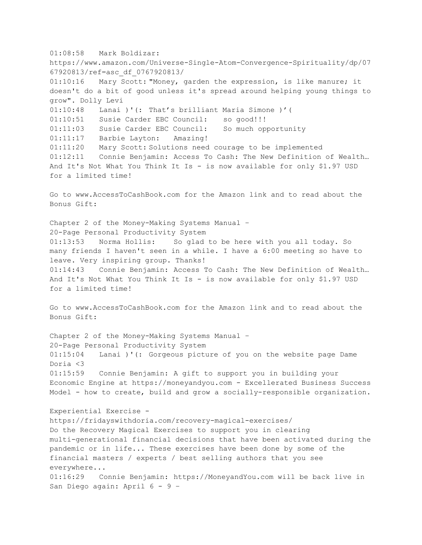01:08:58 Mark Boldizar: https://www.amazon.com/Universe-Single-Atom-Convergence-Spirituality/dp/07 67920813/ref=asc\_df\_0767920813/ 01:10:16 Mary Scott: "Money, garden the expression, is like manure; it doesn't do a bit of good unless it's spread around helping young things to grow". Dolly Levi 01:10:48 Lanai )'(: That's brilliant Maria Simone )'( 01:10:51 Susie Carder EBC Council: so good!!! 01:11:03 Susie Carder EBC Council: So much opportunity 01:11:17 Barbie Layton: Amazing! 01:11:20 Mary Scott: Solutions need courage to be implemented 01:12:11 Connie Benjamin: Access To Cash: The New Definition of Wealth… And It's Not What You Think It Is - is now available for only \$1.97 USD for a limited time! Go to www.AccessToCashBook.com for the Amazon link and to read about the Bonus Gift: Chapter 2 of the Money-Making Systems Manual – 20-Page Personal Productivity System 01:13:53 Norma Hollis: So glad to be here with you all today. So many friends I haven't seen in a while. I have a 6:00 meeting so have to leave. Very inspiring group. Thanks! 01:14:43 Connie Benjamin: Access To Cash: The New Definition of Wealth… And It's Not What You Think It Is - is now available for only \$1.97 USD for a limited time! Go to www.AccessToCashBook.com for the Amazon link and to read about the Bonus Gift: Chapter 2 of the Money-Making Systems Manual – 20-Page Personal Productivity System 01:15:04 Lanai )'(: Gorgeous picture of you on the website page Dame Doria <3 01:15:59 Connie Benjamin: A gift to support you in building your Economic Engine at https://moneyandyou.com - Excellerated Business Success Model - how to create, build and grow a socially-responsible organization. Experiential Exercise https://fridayswithdoria.com/recovery-magical-exercises/ Do the Recovery Magical Exercises to support you in clearing multi-generational financial decisions that have been activated during the pandemic or in life... These exercises have been done by some of the financial masters / experts / best selling authors that you see everywhere... 01:16:29 Connie Benjamin: https://MoneyandYou.com will be back live in San Diego again: April 6 - 9 –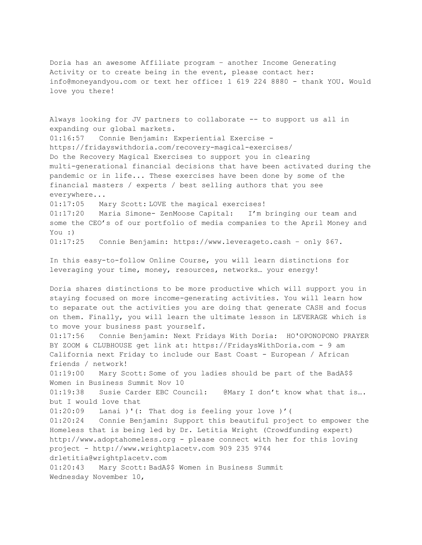Doria has an awesome Affiliate program – another Income Generating Activity or to create being in the event, please contact her: info@moneyandyou.com or text her office: 1 619 224 8880 - thank YOU. Would love you there!

Always looking for JV partners to collaborate -- to support us all in expanding our global markets. 01:16:57 Connie Benjamin: Experiential Exercise https://fridayswithdoria.com/recovery-magical-exercises/ Do the Recovery Magical Exercises to support you in clearing multi-generational financial decisions that have been activated during the pandemic or in life... These exercises have been done by some of the financial masters / experts / best selling authors that you see everywhere... 01:17:05 Mary Scott: LOVE the magical exercises! 01:17:20 Maria Simone- ZenMoose Capital: I'm bringing our team and some the CEO's of our portfolio of media companies to the April Money and You :) 01:17:25 Connie Benjamin: https://www.leverageto.cash – only \$67. In this easy-to-follow Online Course, you will learn distinctions for leveraging your time, money, resources, networks… your energy! Doria shares distinctions to be more productive which will support you in staying focused on more income-generating activities. You will learn how to separate out the activities you are doing that generate CASH and focus on them. Finally, you will learn the ultimate lesson in LEVERAGE which is to move your business past yourself. 01:17:56 Connie Benjamin: Next Fridays With Doria: HO'OPONOPONO PRAYER BY ZOOM & CLUBHOUSE get link at: https://FridaysWithDoria.com - 9 am California next Friday to include our East Coast - European / African friends / network! 01:19:00 Mary Scott: Some of you ladies should be part of the BadA\$\$ Women in Business Summit Nov 10 01:19:38 Susie Carder EBC Council: @Mary I don't know what that is…. but I would love that 01:20:09 Lanai )'(: That dog is feeling your love )'( 01:20:24 Connie Benjamin: Support this beautiful project to empower the Homeless that is being led by Dr. Letitia Wright (Crowdfunding expert) http://www.adoptahomeless.org - please connect with her for this loving project - http://www.wrightplacetv.com 909 235 9744 drletitia@wrightplacetv.com 01:20:43 Mary Scott: BadA\$\$ Women in Business Summit Wednesday November 10,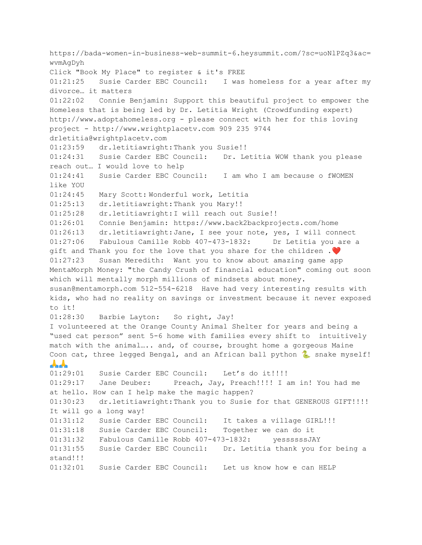https://bada-women-in-business-web-summit-6.heysummit.com/?sc=uoNlPZq3&ac= wvmAgDyh Click "Book My Place" to register & it's FREE 01:21:25 Susie Carder EBC Council: I was homeless for a year after my divorce… it matters 01:22:02 Connie Benjamin: Support this beautiful project to empower the Homeless that is being led by Dr. Letitia Wright (Crowdfunding expert) http://www.adoptahomeless.org - please connect with her for this loving project - http://www.wrightplacetv.com 909 235 9744 drletitia@wrightplacetv.com 01:23:59 dr.letitiawright:Thank you Susie!! 01:24:31 Susie Carder EBC Council: Dr. Letitia WOW thank you please reach out… I would love to help 01:24:41 Susie Carder EBC Council: I am who I am because o fWOMEN like YOU 01:24:45 Mary Scott: Wonderful work, Letitia 01:25:13 dr.letitiawright:Thank you Mary!! 01:25:28 dr.letitiawright:I will reach out Susie!! 01:26:01 Connie Benjamin: https://www.back2backprojects.com/home 01:26:13 dr.letitiawright:Jane, I see your note, yes, I will connect 01:27:06 Fabulous Camille Robb 407-473-1832: Dr Letitia you are a gift and Thank you for the love that you share for the children .❤️ 01:27:23 Susan Meredith: Want you to know about amazing game app MentaMorph Money: "the Candy Crush of financial education" coming out soon which will mentally morph millions of mindsets about money. susan@mentamorph.com 512-554-6218 Have had very interesting results with kids, who had no reality on savings or investment because it never exposed to it! 01:28:30 Barbie Layton: So right, Jay! I volunteered at the Orange County Animal Shelter for years and being a "used cat person" sent 5-6 home with families every shift to intuitively match with the animal….. and, of course, brought home a gorgeous Maine Coon cat, three legged Bengal, and an African ball python  $\sim$  snake myself! <u> A.A.</u> 01:29:01 Susie Carder EBC Council: Let's do it!!!!! 01:29:17 Jane Deuber: Preach, Jay, Preach!!!! I am in! You had me at hello. How can I help make the magic happen? 01:30:23 dr.letitiawright:Thank you to Susie for that GENEROUS GIFT!!!! It will go a long way! 01:31:12 Susie Carder EBC Council: It takes a village GIRL!!! 01:31:18 Susie Carder EBC Council: Together we can do it 01:31:32 Fabulous Camille Robb 407-473-1832: yessssssJAY 01:31:55 Susie Carder EBC Council: Dr. Letitia thank you for being a stand!!! 01:32:01 Susie Carder EBC Council: Let us know how e can HELP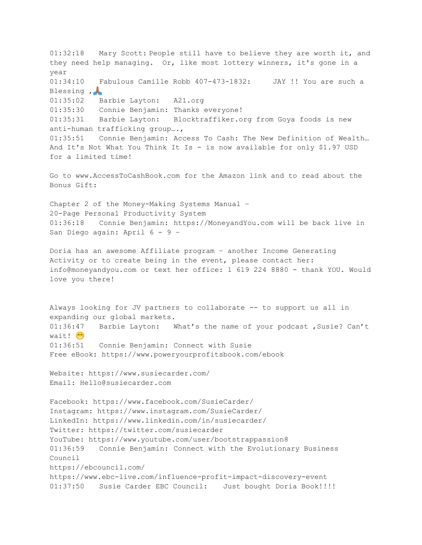01:32:18 Mary Scott: People still have to believe they are worth it, and they need help managing. Or, like most lottery winners, it's gone in a year 01:34:10 Fabulous Camille Robb 407-473-1832: JAY !! You are such a Blessing , A 01:35:02 Barbie Layton: A21.org 01:35:30 Connie Benjamin: Thanks everyone! 01:35:31 Barbie Layton: Blocktraffiker.org from Goya foods is new anti-human trafficking group…., 01:35:51 Connie Benjamin: Access To Cash: The New Definition of Wealth… And It's Not What You Think It Is - is now available for only \$1.97 USD for a limited time! Go to www.AccessToCashBook.com for the Amazon link and to read about the Bonus Gift: Chapter 2 of the Money-Making Systems Manual – 20-Page Personal Productivity System 01:36:18 Connie Benjamin: https://MoneyandYou.com will be back live in San Diego again: April 6 - 9 – Doria has an awesome Affiliate program – another Income Generating Activity or to create being in the event, please contact her: info@moneyandyou.com or text her office: 1 619 224 8880 - thank YOU. Would love you there! Always looking for JV partners to collaborate -- to support us all in expanding our global markets. 01:36:47 Barbie Layton: What's the name of your podcast, Susie? Can't wait! <sup>:</sup> 01:36:51 Connie Benjamin: Connect with Susie Free eBook: https://www.poweryourprofitsbook.com/ebook Website: https://www.susiecarder.com/ Email: Hello@susiecarder.com Facebook: https://www.facebook.com/SusieCarder/ Instagram: https://www.instagram.com/SusieCarder/ LinkedIn: https://www.linkedin.com/in/susiecarder/ Twitter: https://twitter.com/susiecarder YouTube: https://www.youtube.com/user/bootstrappassion8 01:36:59 Connie Benjamin: Connect with the Evolutionary Business Council https://ebcouncil.com/ https://www.ebc-live.com/influence-profit-impact-discovery-event 01:37:50 Susie Carder EBC Council: Just bought Doria Book!!!!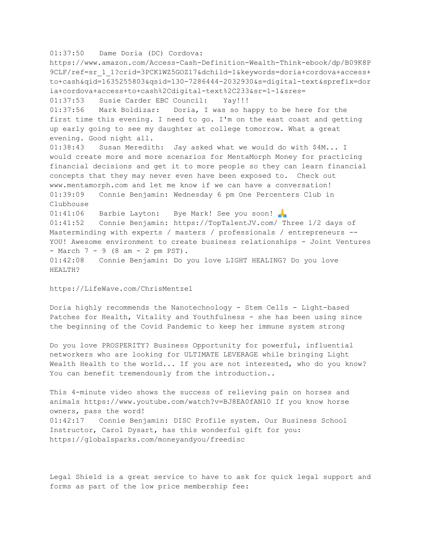01:37:50 Dame Doria (DC) Cordova: https://www.amazon.com/Access-Cash-Definition-Wealth-Think-ebook/dp/B09K8P 9CLF/ref=sr\_1\_1?crid=3PCK1WZ5GOZ17&dchild=1&keywords=doria+cordova+access+ to+cash&qid=1635255803&qsid=130-7286444-2032930&s=digital-text&sprefix=dor ia+cordova+access+to+cash%2Cdigital-text%2C233&sr=1-1&sres= 01:37:53 Susie Carder EBC Council: Yay!!! 01:37:56 Mark Boldizar: Doria, I was so happy to be here for the first time this evening. I need to go. I'm on the east coast and getting up early going to see my daughter at college tomorrow. What a great evening. Good night all. 01:38:43 Susan Meredith: Jay asked what we would do with \$4M... I would create more and more scenarios for MentaMorph Money for practicing financial decisions and get it to more people so they can learn financial concepts that they may never even have been exposed to. Check out www.mentamorph.com and let me know if we can have a conversation! 01:39:09 Connie Benjamin: Wednesday 6 pm One Percenters Club in Clubhouse 01:41:06 Barbie Layton: Bye Mark! See you soon! 01:41:52 Connie Benjamin: https://TopTalentJV.com/ Three 1/2 days of Masterminding with experts / masters / professionals / entrepreneurs -- YOU! Awesome environment to create business relationships - Joint Ventures - March 7 - 9 (8 am - 2 pm PST). 01:42:08 Connie Benjamin: Do you love LIGHT HEALING? Do you love HEALTH?

https://LifeWave.com/ChrisMentzel

Doria highly recommends the Nanotechnology - Stem Cells - Light-based Patches for Health, Vitality and Youthfulness - she has been using since the beginning of the Covid Pandemic to keep her immune system strong

Do you love PROSPERITY? Business Opportunity for powerful, influential networkers who are looking for ULTIMATE LEVERAGE while bringing Light Wealth Health to the world... If you are not interested, who do you know? You can benefit tremendously from the introduction..

This 4-minute video shows the success of relieving pain on horses and animals https://www.youtube.com/watch?v=BJ8EA0fANl0 If you know horse owners, pass the word! 01:42:17 Connie Benjamin: DISC Profile system. Our Business School Instructor, Carol Dysart, has this wonderful gift for you: https://globalsparks.com/moneyandyou/freedisc

Legal Shield is a great service to have to ask for quick legal support and forms as part of the low price membership fee: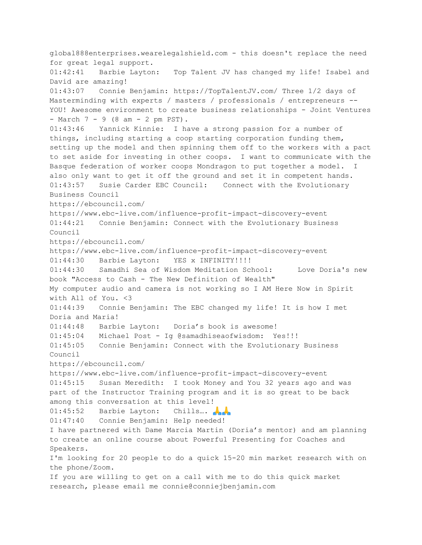global888enterprises.wearelegalshield.com - this doesn't replace the need for great legal support. 01:42:41 Barbie Layton: Top Talent JV has changed my life! Isabel and David are amazing! 01:43:07 Connie Benjamin: https://TopTalentJV.com/ Three 1/2 days of Masterminding with experts / masters / professionals / entrepreneurs -- YOU! Awesome environment to create business relationships - Joint Ventures  $-$  March  $7 - 9$  (8 am  $- 2$  pm PST). 01:43:46 Yannick Kinnie: I have a strong passion for a number of things, including starting a coop starting corporation funding them, setting up the model and then spinning them off to the workers with a pact to set aside for investing in other coops. I want to communicate with the Basque federation of worker coops Mondragon to put together a model. also only want to get it off the ground and set it in competent hands. 01:43:57 Susie Carder EBC Council: Connect with the Evolutionary Business Council https://ebcouncil.com/ https://www.ebc-live.com/influence-profit-impact-discovery-event 01:44:21 Connie Benjamin: Connect with the Evolutionary Business Council https://ebcouncil.com/ https://www.ebc-live.com/influence-profit-impact-discovery-event 01:44:30 Barbie Layton: YES x INFINITY!!!!! 01:44:30 Samadhi Sea of Wisdom Meditation School: Love Doria's new book "Access to Cash - The New Definition of Wealth" My computer audio and camera is not working so I AM Here Now in Spirit with All of You. <3 01:44:39 Connie Benjamin: The EBC changed my life! It is how I met Doria and Maria! 01:44:48 Barbie Layton: Doria's book is awesome! 01:45:04 Michael Post - Ig @samadhiseaofwisdom: Yes!!! 01:45:05 Connie Benjamin: Connect with the Evolutionary Business Council https://ebcouncil.com/ https://www.ebc-live.com/influence-profit-impact-discovery-event 01:45:15 Susan Meredith: I took Money and You 32 years ago and was part of the Instructor Training program and it is so great to be back among this conversation at this level! 01:45:52 Barbie Layton: Chills... 01:47:40 Connie Benjamin: Help needed! I have partnered with Dame Marcia Martin (Doria's mentor) and am planning to create an online course about Powerful Presenting for Coaches and Speakers. I'm looking for 20 people to do a quick 15-20 min market research with on the phone/Zoom. If you are willing to get on a call with me to do this quick market research, please email me connie@conniejbenjamin.com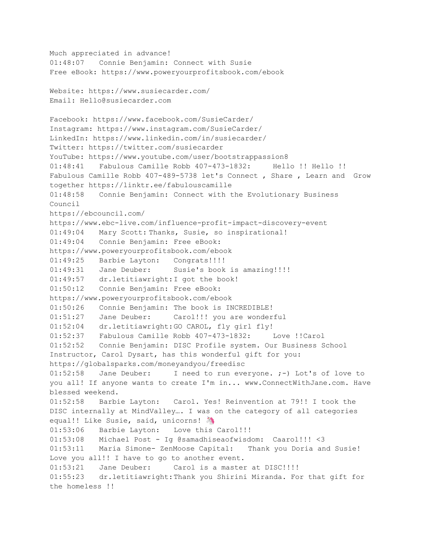```
Much appreciated in advance!
01:48:07 Connie Benjamin: Connect with Susie
Free eBook: https://www.poweryourprofitsbook.com/ebook
Website: https://www.susiecarder.com/
Email: Hello@susiecarder.com
Facebook: https://www.facebook.com/SusieCarder/
Instagram: https://www.instagram.com/SusieCarder/
LinkedIn: https://www.linkedin.com/in/susiecarder/
Twitter: https://twitter.com/susiecarder
YouTube: https://www.youtube.com/user/bootstrappassion8
01:48:41 Fabulous Camille Robb 407-473-1832: Hello !! Hello !!
Fabulous Camille Robb 407-489-5738 let's Connect , Share , Learn and Grow
together https://linktr.ee/fabulouscamille
01:48:58 Connie Benjamin: Connect with the Evolutionary Business
Council
https://ebcouncil.com/
https://www.ebc-live.com/influence-profit-impact-discovery-event
01:49:04 Mary Scott: Thanks, Susie, so inspirational!
01:49:04 Connie Benjamin: Free eBook:
https://www.poweryourprofitsbook.com/ebook
01:49:25 Barbie Layton: Congrats!!!!
01:49:31 Jane Deuber: Susie's book is amazing!!!!
01:49:57 dr.letitiawright:I got the book!
01:50:12 Connie Benjamin: Free eBook:
https://www.poweryourprofitsbook.com/ebook
01:50:26 Connie Benjamin: The book is INCREDIBLE!
01:51:27 Jane Deuber: Carol!!! you are wonderful
01:52:04 dr.letitiawright:GO CAROL, fly girl fly!
01:52:37 Fabulous Camille Robb 407-473-1832: Love !!Carol
01:52:52 Connie Benjamin: DISC Profile system. Our Business School
Instructor, Carol Dysart, has this wonderful gift for you:
https://globalsparks.com/moneyandyou/freedisc
01:52:58 Jane Deuber: I need to run everyone. ;-) Lot's of love to
you all! If anyone wants to create I'm in... www.ConnectWithJane.com. Have
blessed weekend.
01:52:58 Barbie Layton: Carol. Yes! Reinvention at 79!! I took the
DISC internally at MindValley…. I was on the category of all categories
equal!! Like Susie, said, unicorns!
01:53:06 Barbie Layton: Love this Carol!!!
01:53:08 Michael Post - Ig @samadhiseaofwisdom: Caarol!!! <3
01:53:11 Maria Simone- ZenMoose Capital: Thank you Doria and Susie!
Love you all!! I have to go to another event.
01:53:21 Jane Deuber: Carol is a master at DISC!!!!
01:55:23 dr.letitiawright:Thank you Shirini Miranda. For that gift for
the homeless !!
```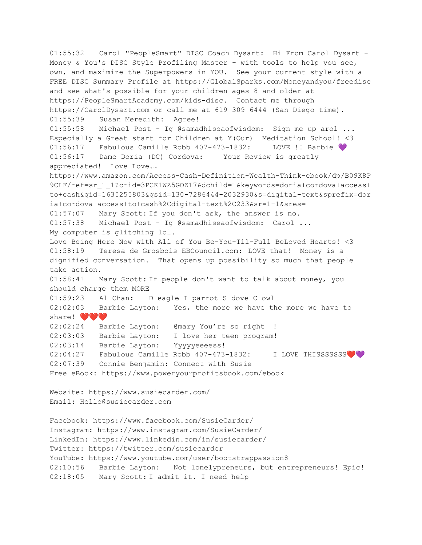01:55:32 Carol "PeopleSmart" DISC Coach Dysart: Hi From Carol Dysart - Money & You's DISC Style Profiling Master - with tools to help you see, own, and maximize the Superpowers in YOU. See your current style with a FREE DISC Summary Profile at https://GlobalSparks.com/Moneyandyou/freedisc and see what's possible for your children ages 8 and older at https://PeopleSmartAcademy.com/kids-disc. Contact me through https://CarolDysart.com or call me at 619 309 6444 (San Diego time). 01:55:39 Susan Meredith: Agree! 01:55:58 Michael Post - Ig @samadhiseaofwisdom: Sign me up arol ... Especially a Great start for Children at Y(Our) Meditation School! <3 01:56:17 Fabulous Camille Robb 407-473-1832: LOVE !! Barbie 01:56:17 Dame Doria (DC) Cordova: Your Review is greatly appreciated! Love Love…. https://www.amazon.com/Access-Cash-Definition-Wealth-Think-ebook/dp/B09K8P 9CLF/ref=sr\_1\_1?crid=3PCK1WZ5GOZ17&dchild=1&keywords=doria+cordova+access+ to+cash&qid=1635255803&qsid=130-7286444-2032930&s=digital-text&sprefix=dor ia+cordova+access+to+cash%2Cdigital-text%2C233&sr=1-1&sres= 01:57:07 Mary Scott: If you don't ask, the answer is no. 01:57:38 Michael Post - Ig @samadhiseaofwisdom: Carol ... My computer is glitching lol. Love Being Here Now with All of You Be-You-Til-Full BeLoved Hearts! <3 01:58:19 Teresa de Grosbois EBCouncil.com: LOVE that! Money is a dignified conversation. That opens up possibility so much that people take action. 01:58:41 Mary Scott: If people don't want to talk about money, you should charge them MORE 01:59:23 Al Chan: D eagle I parrot S dove C owl 02:02:03 Barbie Layton: Yes, the more we have the more we have to share!  $\bullet\bullet\bullet$ 02:02:24 Barbie Layton: @mary You're so right ! 02:03:03 Barbie Layton: I love her teen program! 02:03:14 Barbie Layton: Yyyyyeeeess! 02:04:27 Fabulous Camille Robb 407-473-1832: I LOVE THISSSSSSS 02:07:39 Connie Benjamin: Connect with Susie Free eBook: https://www.poweryourprofitsbook.com/ebook Website: https://www.susiecarder.com/ Email: Hello@susiecarder.com Facebook: https://www.facebook.com/SusieCarder/ Instagram: https://www.instagram.com/SusieCarder/ LinkedIn: https://www.linkedin.com/in/susiecarder/ Twitter: https://twitter.com/susiecarder YouTube: https://www.youtube.com/user/bootstrappassion8 02:10:56 Barbie Layton: Not lonelypreneurs, but entrepreneurs! Epic! 02:18:05 Mary Scott: I admit it. I need help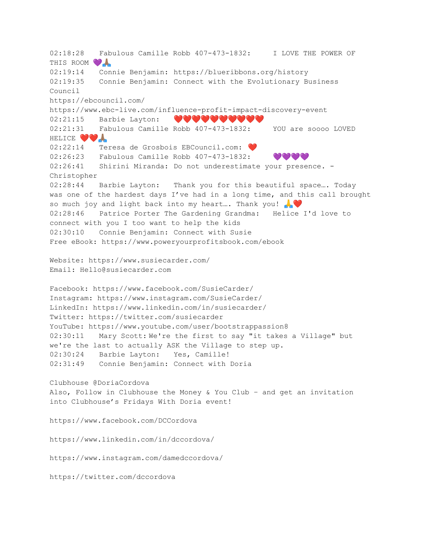02:18:28 Fabulous Camille Robb 407-473-1832: I LOVE THE POWER OF THIS ROOM 02:19:14 Connie Benjamin: https://blueribbons.org/history 02:19:35 Connie Benjamin: Connect with the Evolutionary Business Council https://ebcouncil.com/ https://www.ebc-live.com/influence-profit-impact-discovery-event 02:21:15 Barbie Layton: ♥♥♥♥♥♥♥♥♥♥ 02:21:31 Fabulous Camille Robb 407-473-1832: YOU are soooo LOVED HELICE **YOA** 02:22:14 Teresa de Grosbois EBCouncil.com: ❤️ 02:26:23 Fabulous Camille Robb 407-473-1832: VVVV 02:26:41 Shirini Miranda: Do not underestimate your presence. -Christopher 02:28:44 Barbie Layton: Thank you for this beautiful space…. Today was one of the hardest days I've had in a long time, and this call brought so much joy and light back into my heart... Thank you! 02:28:46 Patrice Porter The Gardening Grandma: Helice I'd love to connect with you I too want to help the kids 02:30:10 Connie Benjamin: Connect with Susie Free eBook: https://www.poweryourprofitsbook.com/ebook Website: https://www.susiecarder.com/ Email: Hello@susiecarder.com Facebook: https://www.facebook.com/SusieCarder/ Instagram: https://www.instagram.com/SusieCarder/ LinkedIn: https://www.linkedin.com/in/susiecarder/ Twitter: https://twitter.com/susiecarder YouTube: https://www.youtube.com/user/bootstrappassion8 02:30:11 Mary Scott: We're the first to say "it takes a Village" but we're the last to actually ASK the Village to step up. 02:30:24 Barbie Layton: Yes, Camille! 02:31:49 Connie Benjamin: Connect with Doria Clubhouse @DoriaCordova Also, Follow in Clubhouse the Money & You Club – and get an invitation into Clubhouse's Fridays With Doria event! https://www.facebook.com/DCCordova https://www.linkedin.com/in/dccordova/ https://www.instagram.com/damedccordova/ https://twitter.com/dccordova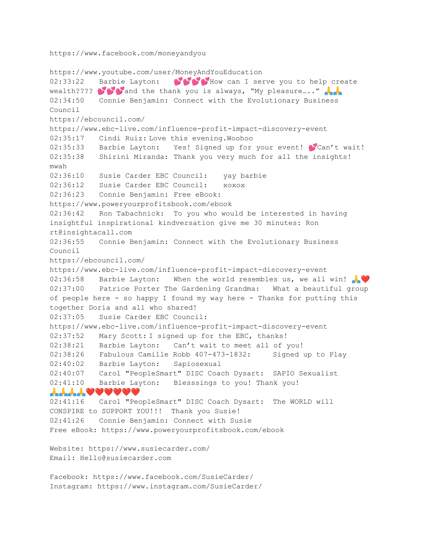https://www.facebook.com/moneyandyou

https://www.youtube.com/user/MoneyAndYouEducation 02:33:22 Barbie Layton:  $\bullet\bullet\bullet\bullet$  How can I serve you to help create wealth????  $\bullet$  and the thank you is always, "My pleasure...." 02:34:50 Connie Benjamin: Connect with the Evolutionary Business Council https://ebcouncil.com/ https://www.ebc-live.com/influence-profit-impact-discovery-event 02:35:17 Cindi Ruiz: Love this evening.Woohoo 02:35:33 Barbie Layton: Yes! Signed up for your event! Can't wait! 02:35:38 Shirini Miranda: Thank you very much for all the insights! mwah 02:36:10 Susie Carder EBC Council: yay barbie 02:36:12 Susie Carder EBC Council: xoxox 02:36:23 Connie Benjamin: Free eBook: https://www.poweryourprofitsbook.com/ebook 02:36:42 Ron Tabachnick: To you who would be interested in having insightful inspirational kindversation give me 30 minutes: Ron rt@insightacall.com 02:36:55 Connie Benjamin: Connect with the Evolutionary Business Council https://ebcouncil.com/ https://www.ebc-live.com/influence-profit-impact-discovery-event 02:36:58 Barbie Layton: When the world resembles us, we all win! 02:37:00 Patrice Porter The Gardening Grandma: What a beautiful group of people here - so happy I found my way here - Thanks for putting this together Doria and all who shared! 02:37:05 Susie Carder EBC Council: https://www.ebc-live.com/influence-profit-impact-discovery-event 02:37:52 Mary Scott: I signed up for the EBC, thanks! 02:38:21 Barbie Layton: Can't wait to meet all of you! 02:38:26 Fabulous Camille Robb 407-473-1832: Signed up to Play 02:40:02 Barbie Layton: Sapiosexual 02:40:07 Carol "PeopleSmart" DISC Coach Dysart: SAPIO Sexualist 02:41:10 Barbie Layton: Blesssings to you! Thank you!  $\bm{r}$   $\bm{r}$   $\bm{r}$   $\bm{r}$   $\bm{s}$   $\bm{s}$   $\bm{s}$   $\bm{s}$   $\bm{s}$   $\bm{s}$ 02:41:16 Carol "PeopleSmart" DISC Coach Dysart: The WORLD will CONSPIRE to SUPPORT YOU!!! Thank you Susie! 02:41:26 Connie Benjamin: Connect with Susie Free eBook: https://www.poweryourprofitsbook.com/ebook Website: https://www.susiecarder.com/ Email: Hello@susiecarder.com Facebook: https://www.facebook.com/SusieCarder/ Instagram: https://www.instagram.com/SusieCarder/